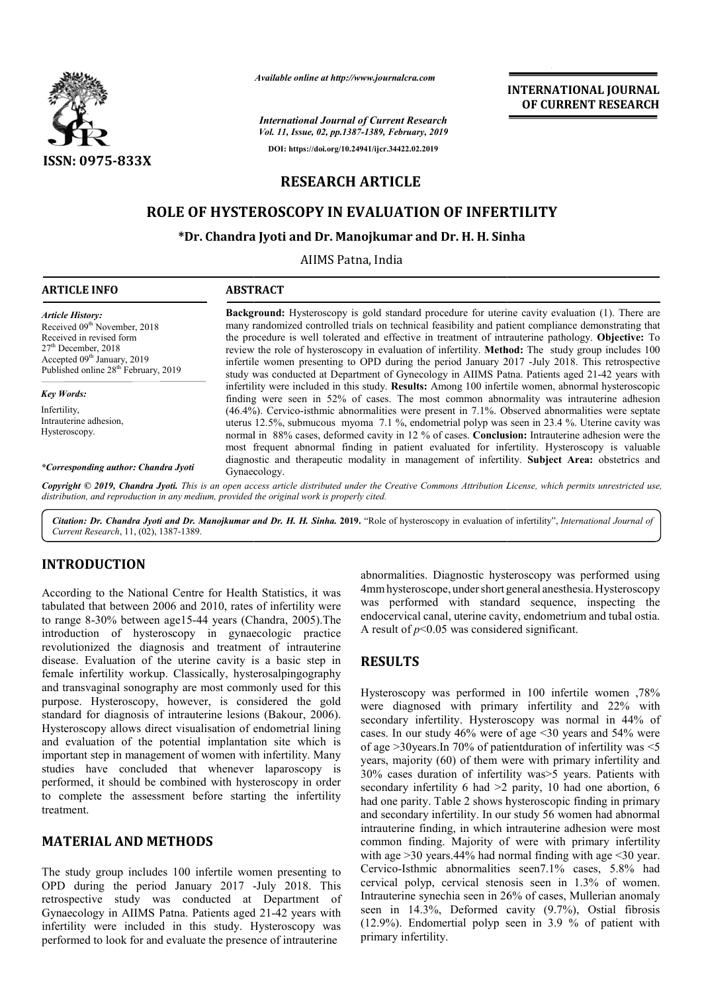

*Available online at http://www.journalcra.com*

*International Journal of Current Research Vol. 11, Issue, 02, pp.1387-1389, February, 2019* **DOI: https://doi.org/10.24941/ijcr.34422.02.2019**

**INTERNATIONAL JOURNAL OF CURRENT RESEARCH**

# **RESEARCH ARTICLE**

# **ROLE OF HYSTEROSCOPY IN EVALUATION OF INFERTILITY**

### **\*Dr. Chandra Jyoti and Dr. Manojkumar and Dr. H. H. Sinha H. H.**

AIIMS Patna, India

| <b>ARTICLE INFO</b>                                                                                                                                                                                                     | <b>ABSTRACT</b>                                                                                                                                                                                                                                                                                                                                                                                                                                                                                                                                                                                                                   |
|-------------------------------------------------------------------------------------------------------------------------------------------------------------------------------------------------------------------------|-----------------------------------------------------------------------------------------------------------------------------------------------------------------------------------------------------------------------------------------------------------------------------------------------------------------------------------------------------------------------------------------------------------------------------------------------------------------------------------------------------------------------------------------------------------------------------------------------------------------------------------|
| <b>Article History:</b><br>Received 09 <sup>th</sup> November, 2018<br>Received in revised form<br>$27th$ December, 2018<br>Accepted 09 <sup>th</sup> January, 2019<br>Published online 28 <sup>th</sup> February, 2019 | <b>Background:</b> Hysteroscopy is gold standard procedure for uterine cavity evaluation (1). There are<br>many randomized controlled trials on technical feasibility and patient compliance demonstrating that<br>the procedure is well tolerated and effective in treatment of intrauterine pathology. Objective: To<br>review the role of hysteroscopy in evaluation of infertility. Method: The study group includes 100<br>infertile women presenting to OPD during the period January 2017 -July 2018. This retrospective<br>study was conducted at Department of Gynecology in AIIMS Patna. Patients aged 21-42 years with |
| <b>Key Words:</b>                                                                                                                                                                                                       | infertility were included in this study. Results: Among 100 infertile women, abnormal hysteroscopic<br>finding were seen in 52% of cases. The most common abnormality was intrauterine adhesion                                                                                                                                                                                                                                                                                                                                                                                                                                   |
| Infertility.<br>Intrauterine adhesion,<br>Hysteroscopy.                                                                                                                                                                 | (46.4%). Cervico-isthmic abnormalities were present in 7.1%. Observed abnormalities were septate<br>uterus 12.5%, submucous myoma 7.1%, endometrial polyp was seen in 23.4%. Uterine cavity was<br>normal in 88% cases, deformed cavity in 12 % of cases. Conclusion: Intrauterine adhesion were the<br>most frequent abnormal finding in patient evaluated for infertility. Hysteroscopy is valuable                                                                                                                                                                                                                             |
| *Corresponding author: Chandra Jyoti                                                                                                                                                                                    | diagnostic and therapeutic modality in management of infertility. Subject Area: obstetrics and<br>Gynaecology.                                                                                                                                                                                                                                                                                                                                                                                                                                                                                                                    |

Copyright © 2019, Chandra Jyoti. This is an open access article distributed under the Creative Commons Attribution License, which permits unrestricted use, *distribution, and reproduction in any medium, provided the original work is properly cited.*

Citation: Dr. Chandra Jyoti and Dr. Manojkumar and Dr. H. H. Sinha. 2019. "Role of hysteroscopy in evaluation of infertility", *International Journal of Current Research*, 11, (02), 1387-1389.

## **INTRODUCTION**

According to the National Centre for Health Statistics, it was tabulated that between 2006 and 2010, rates of infertility were to range 8-30% between age15-44 years (Chandra, 2005).The introduction of hysteroscopy in gynaecologic practice revolutionized the diagnosis and treatment of intrauterine disease. Evaluation of the uterine cavity is a basic step in female infertility workup. Classically, hysterosalpingography and transvaginal sonography are most commonly used for this purpose. Hysteroscopy, however, is considered the gold standard for diagnosis of intrauterine lesions (Bakour, 2006). Hysteroscopy allows direct visualisation of endometrial lining and evaluation of the potential implantation site which is important step in management of women with infertility. Many studies have concluded that whenever laparoscopy is performed, it should be combined with hysteroscopy in order to complete the assessment before starting the infertility treatment.

### **MATERIAL AND METHODS**

The study group includes 100 infertile women presenting to OPD during the period January 2017 - -July 2018. This retrospective study was conducted at Department of Gynaecology in AIIMS Patna. Patients aged 21 21-42 years with infertility were included in this study. Hysteroscopy was performed to look for and evaluate the presence of intrauterine

abnormalities. Diagnostic hysteroscopy was performed using 4mmhysteroscope, undershort general anesthesia.Hysteroscopy was performed with standard sequence, inspecting the endocervical canal, uterine cavity, endometrium and tubal ostia. A result of  $p<0.05$  was considered significant.

## **RESULTS**

Hysteroscopy was performed in 100 infertile women ,78% were diagnosed with primary infertility and 22% with secondary infertility. Hysteroscopy was normal in 44% of cases. In our study 46% were of age <30 years and 54% were of age  $>$ 30years.In 70% of patient duration of infertility was  $<$ 5 years, majority (60) of them were with primary infertility and 30% cases duration of infertility was>5 years. Patients with secondary infertility 6 had  $>2$  parity, 10 had one abortion, 6 had one parity. Table 2 shows hysteros hysteroscopic finding in primary and secondary infertility. In our study 56 women had abnormal intrauterine finding, in which intrauterine adhesion were most common finding. Majority of were with primary infertility with age  $>30$  years. 44% had normal finding with age  $<$ 30 year. Cervico-Isthmic abnormalities seen7.1% cases, 5.8% had cervical polyp, cervical stenosis seen in 1.3% of women. Intrauterine synechia seen in 26% of cases, Mullerian anomaly seen in 14.3%, Deformed cavity (9.7%), Ostial fibrosis (12.9%). Endomertial polyp seen in 3.9 % of patient with primary infertility. vas considered significant.<br>performed in 100 infertile women ,78%<br>with primary infertility and 22% with<br>y. Hysteroscopy was normal in 44% of<br>46% were of age <30 years and 54% were<br>70% of patientduration of infertility was brity (60) of them were with primary infertility and duration of infertility was  $>5$  years. Patients with infertility 6 had  $>2$  parity, 10 had one abortion, 6 It, in which intrauterine adhesion were most<br>Majority of were with primary infertility<br>.44% had normal finding with age <30 year. **INTERNATIONAL JOURNAL**<br> **OF CURRENT RESEARCH**<br> **OF CURRENT RESEARCH**<br> **OF CURRENT RESEARCH**<br> **DETERNATION OF INFERTILITY**<br> **TION OF INFERTILITY**<br> **And a** procedure for uterinc early evaluation (1). There are<br>
their in te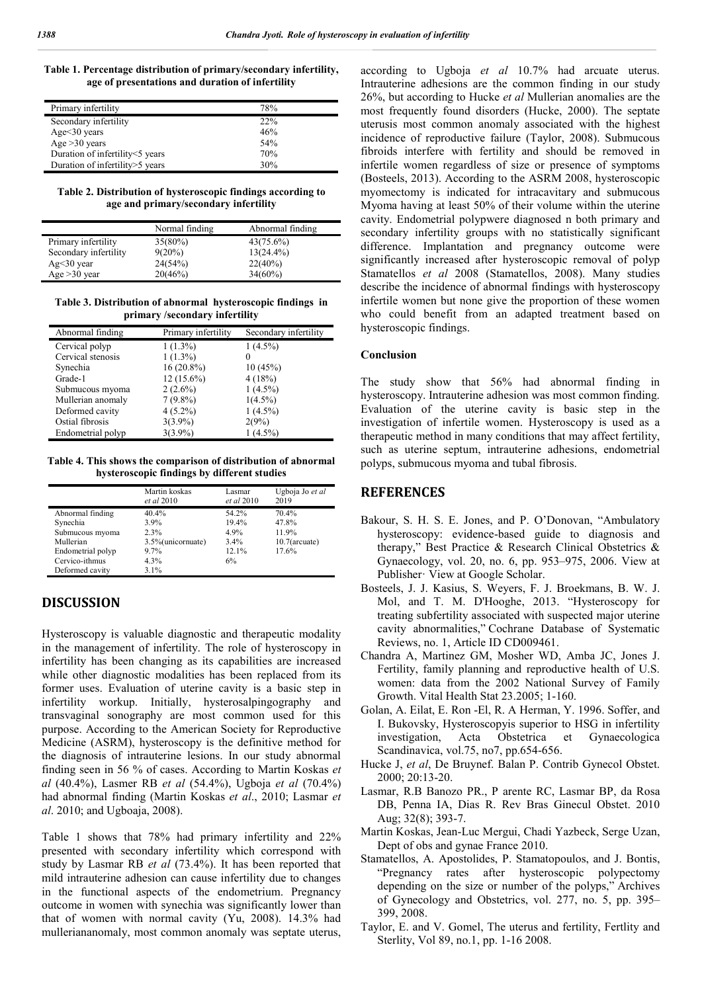#### **Table 1. Percentage distribution of primary/secondary infertility, age of presentations and duration of infertility**

| Primary infertility               | 78% |
|-----------------------------------|-----|
| Secondary infertility             | 22% |
| Age $<$ 30 years                  | 46% |
| Age $>30$ years                   | 54% |
| Duration of infertility<5 years   | 70% |
| Duration of infertility > 5 years | 30% |

**Table 2. Distribution of hysteroscopic findings according to age and primary/secondary infertility**

|                       | Normal finding | Abnormal finding |
|-----------------------|----------------|------------------|
| Primary infertility   | $35(80\%)$     | $43(75.6\%)$     |
| Secondary infertility | $9(20\%)$      | $13(24.4\%)$     |
| $Ag<30$ year          | 24(54%)        | 22(40%)          |
| Age $>30$ year        | 20(46%)        | $34(60\%)$       |

**Table 3. Distribution of abnormal hysteroscopic findings in primary /secondary infertility**

| Abnormal finding  | Primary infertility | Secondary infertility |
|-------------------|---------------------|-----------------------|
| Cervical polyp    | $1(1.3\%)$          | $1(4.5\%)$            |
| Cervical stenosis | $1(1.3\%)$          |                       |
| Synechia          | $16(20.8\%)$        | 10(45%)               |
| Grade-1           | $12(15.6\%)$        | 4(18%)                |
| Submucous myoma   | $2(2.6\%)$          | $1(4.5\%)$            |
| Mullerian anomaly | $7(9.8\%)$          | $1(4.5\%)$            |
| Deformed cavity   | $4(5.2\%)$          | $1(4.5\%)$            |
| Ostial fibrosis   | $3(3.9\%)$          | 2(9%)                 |
| Endometrial polyp | $3(3.9\%)$          | $1(4.5\%)$            |

**Table 4. This shows the comparison of distribution of abnormal hysteroscopic findings by different studies**

|                   | Martin koskas<br>et al 2010 | Lasmar<br>et al 2010 | Ugboja Jo et al<br>2019 |
|-------------------|-----------------------------|----------------------|-------------------------|
| Abnormal finding  | 40.4%                       | 54.2%                | 70.4%                   |
| Synechia          | 3.9%                        | 19.4%                | 47.8%                   |
| Submucous myoma   | 2.3%                        | 4.9%                 | 11.9%                   |
| Mullerian         | 3.5%(unicornuate)           | $3.4\%$              | $10.7$ (arcuate)        |
| Endometrial polyp | 9.7%                        | 12.1%                | 17.6%                   |
| Cervico-ithmus    | 4.3%                        | 6%                   |                         |
| Deformed cavity   | $3.1\%$                     |                      |                         |

## **DISCUSSION**

Hysteroscopy is valuable diagnostic and therapeutic modality in the management of infertility. The role of hysteroscopy in infertility has been changing as its capabilities are increased while other diagnostic modalities has been replaced from its former uses. Evaluation of uterine cavity is a basic step in infertility workup. Initially, hysterosalpingography and transvaginal sonography are most common used for this purpose. According to the American Society for Reproductive Medicine (ASRM), hysteroscopy is the definitive method for the diagnosis of intrauterine lesions. In our study abnormal finding seen in 56 % of cases. According to Martin Koskas *et al* (40.4%), Lasmer RB *et al* (54.4%), Ugboja *et al* (70.4%) had abnormal finding (Martin Koskas *et al*., 2010; Lasmar *et al*. 2010; and Ugboaja, 2008).

Table 1 shows that 78% had primary infertility and 22% presented with secondary infertility which correspond with study by Lasmar RB *et al* (73.4%). It has been reported that mild intrauterine adhesion can cause infertility due to changes in the functional aspects of the endometrium. Pregnancy outcome in women with synechia was significantly lower than that of women with normal cavity (Yu, 2008). 14.3% had mulleriananomaly, most common anomaly was septate uterus,

according to Ugboja *et al* 10.7% had arcuate uterus. Intrauterine adhesions are the common finding in our study 26%, but according to Hucke *et al* Mullerian anomalies are the most frequently found disorders (Hucke, 2000). The septate uterusis most common anomaly associated with the highest incidence of reproductive failure (Taylor, 2008). Submucous fibroids interfere with fertility and should be removed in infertile women regardless of size or presence of symptoms (Bosteels, 2013). According to the ASRM 2008, hysteroscopic myomectomy is indicated for intracavitary and submucous Myoma having at least 50% of their volume within the uterine cavity. Endometrial polypwere diagnosed n both primary and secondary infertility groups with no statistically significant difference. Implantation and pregnancy outcome were significantly increased after hysteroscopic removal of polyp Stamatellos *et al* 2008 (Stamatellos, 2008). Many studies describe the incidence of abnormal findings with hysteroscopy infertile women but none give the proportion of these women who could benefit from an adapted treatment based on hysteroscopic findings.

#### **Conclusion**

The study show that 56% had abnormal finding in hysteroscopy. Intrauterine adhesion was most common finding. Evaluation of the uterine cavity is basic step in the investigation of infertile women. Hysteroscopy is used as a therapeutic method in many conditions that may affect fertility, such as uterine septum, intrauterine adhesions, endometrial polyps, submucous myoma and tubal fibrosis.

#### **REFERENCES**

- Bakour, S. H. S. E. Jones, and P. O'Donovan, "Ambulatory hysteroscopy: evidence-based guide to diagnosis and therapy," Best Practice & Research Clinical Obstetrics & Gynaecology, vol. 20, no. 6, pp. 953–975, 2006. View at Publisher· View at Google Scholar.
- Bosteels, J. J. Kasius, S. Weyers, F. J. Broekmans, B. W. J. Mol, and T. M. D'Hooghe, 2013. "Hysteroscopy for treating subfertility associated with suspected major uterine cavity abnormalities," Cochrane Database of Systematic Reviews, no. 1, Article ID CD009461.
- Chandra A, Martinez GM, Mosher WD, Amba JC, Jones J. Fertility, family planning and reproductive health of U.S. women: data from the 2002 National Survey of Family Growth. Vital Health Stat 23.2005; 1-160.
- Golan, A. Eilat, E. Ron -El, R. A Herman, Y. 1996. Soffer, and I. Bukovsky, Hysteroscopyis superior to HSG in infertility investigation, Acta Obstetrica et Gynaecologica Scandinavica, vol.75, no7, pp.654-656.
- Hucke J, *et al*, De Bruynef. Balan P. Contrib Gynecol Obstet. 2000; 20:13-20.
- Lasmar, R.B Banozo PR., P arente RC, Lasmar BP, da Rosa DB, Penna IA, Dias R. Rev Bras Ginecul Obstet. 2010 Aug; 32(8); 393-7.
- Martin Koskas, Jean-Luc Mergui, Chadi Yazbeck, Serge Uzan, Dept of obs and gynae France 2010.
- Stamatellos, A. Apostolides, P. Stamatopoulos, and J. Bontis, "Pregnancy rates after hysteroscopic polypectomy depending on the size or number of the polyps," Archives of Gynecology and Obstetrics, vol. 277, no. 5, pp. 395– 399, 2008.
- Taylor, E. and V. Gomel, The uterus and fertility, Fertlity and Sterlity, Vol 89, no.1, pp. 1-16 2008.